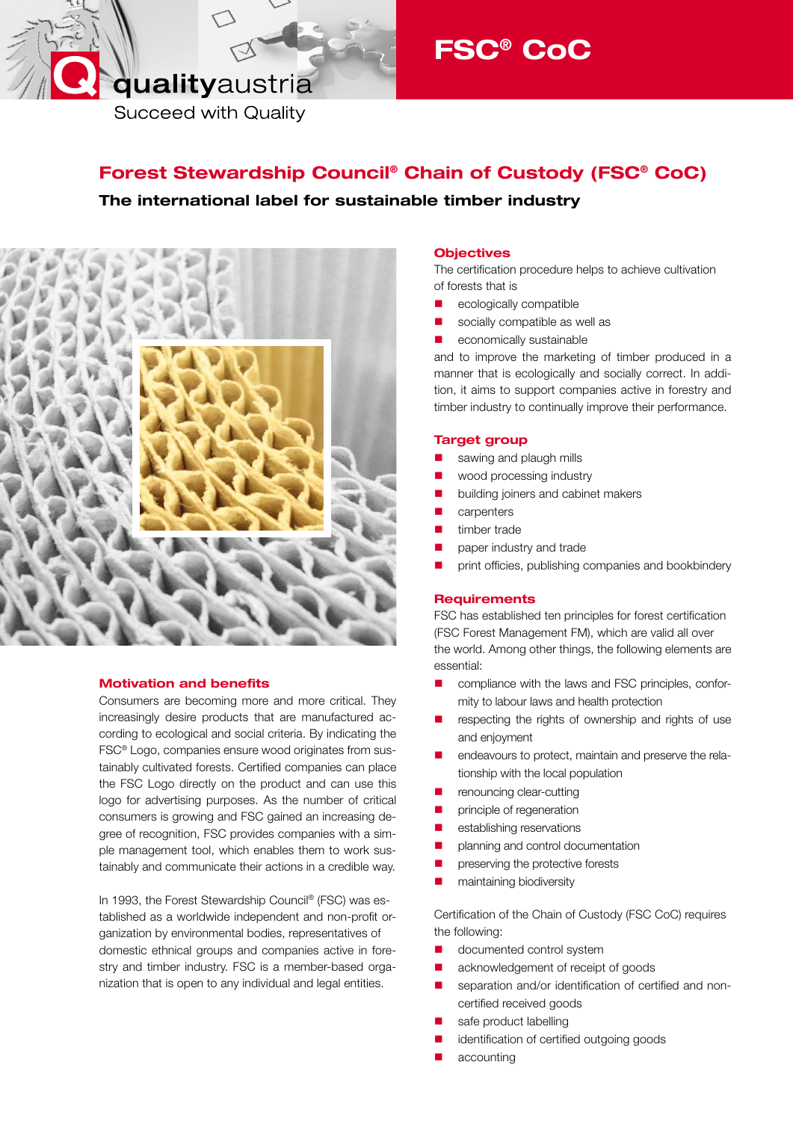# qualityaustria

**Succeed with Quality** 

# Forest Stewardship Council® Chain of Custody (FSC® CoC)

The international label for sustainable timber industry



### Motivation and benefits

Consumers are becoming more and more critical. They increasingly desire products that are manufactured according to ecological and social criteria. By indicating the FSC® Logo, companies ensure wood originates from sustainably cultivated forests. Certified companies can place the FSC Logo directly on the product and can use this logo for advertising purposes. As the number of critical consumers is growing and FSC gained an increasing degree of recognition, FSC provides companies with a simple management tool, which enables them to work sustainably and communicate their actions in a credible way.

In 1993, the Forest Stewardship Council® (FSC) was established as a worldwide independent and non-profit organization by environmental bodies, representatives of domestic ethnical groups and companies active in forestry and timber industry. FSC is a member-based organization that is open to any individual and legal entities.

## **Objectives**

The certification procedure helps to achieve cultivation of forests that is

ecologically compatible

FSC® CoC

- socially compatible as well as
- **E** economically sustainable

and to improve the marketing of timber produced in a manner that is ecologically and socially correct. In addition, it aims to support companies active in forestry and timber industry to continually improve their performance.

#### Target group

- sawing and plaugh mills
- **Notational meta** wood processing industry
- building joiners and cabinet makers
- carpenters
- timber trade
- paper industry and trade
- **P** print officies, publishing companies and bookbindery

#### **Requirements**

FSC has established ten principles for forest certification (FSC Forest Management FM), which are valid all over the world. Among other things, the following elements are essential:

- **E** compliance with the laws and FSC principles, conformity to labour laws and health protection
- $\blacksquare$  respecting the rights of ownership and rights of use and enjoyment
- endeavours to protect, maintain and preserve the relationship with the local population
- **P** renouncing clear-cutting
- **P** principle of regeneration
- **E** establishing reservations
- **P** planning and control documentation
- preserving the protective forests
- **n** maintaining biodiversity

Certification of the Chain of Custody (FSC CoC) requires the following:

- documented control system
- **a** acknowledgement of receipt of goods
- separation and/or identification of certified and noncertified received goods
- safe product labelling
- identification of certified outgoing goods
- accounting